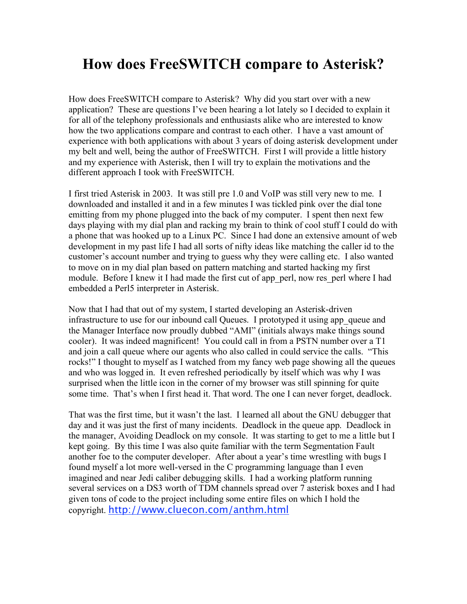# **How does FreeSWITCH compare to Asterisk?**

How does FreeSWITCH compare to Asterisk? Why did you start over with a new application? These are questions I've been hearing a lot lately so I decided to explain it for all of the telephony professionals and enthusiasts alike who are interested to know how the two applications compare and contrast to each other. I have a vast amount of experience with both applications with about 3 years of doing asterisk development under my belt and well, being the author of FreeSWITCH. First I will provide a little history and my experience with Asterisk, then I will try to explain the motivations and the different approach I took with FreeSWITCH.

I first tried Asterisk in 2003. It was still pre 1.0 and VoIP was still very new to me. I downloaded and installed it and in a few minutes I was tickled pink over the dial tone emitting from my phone plugged into the back of my computer. I spent then next few days playing with my dial plan and racking my brain to think of cool stuff I could do with a phone that was hooked up to a Linux PC. Since I had done an extensive amount of web development in my past life I had all sorts of nifty ideas like matching the caller id to the customer's account number and trying to guess why they were calling etc. I also wanted to move on in my dial plan based on pattern matching and started hacking my first module. Before I knew it I had made the first cut of app\_perl, now res\_perl where I had embedded a Perl5 interpreter in Asterisk.

Now that I had that out of my system, I started developing an Asterisk-driven infrastructure to use for our inbound call Queues. I prototyped it using app\_queue and the Manager Interface now proudly dubbed "AMI" (initials always make things sound cooler). It was indeed magnificent! You could call in from a PSTN number over a T1 and join a call queue where our agents who also called in could service the calls. "This rocks!" I thought to myself as I watched from my fancy web page showing all the queues and who was logged in. It even refreshed periodically by itself which was why I was surprised when the little icon in the corner of my browser was still spinning for quite some time. That's when I first head it. That word. The one I can never forget, deadlock.

That was the first time, but it wasn't the last. I learned all about the GNU debugger that day and it was just the first of many incidents. Deadlock in the queue app. Deadlock in the manager, Avoiding Deadlock on my console. It was starting to get to me a little but I kept going. By this time I was also quite familiar with the term Segmentation Fault another foe to the computer developer. After about a year's time wrestling with bugs I found myself a lot more well-versed in the C programming language than I even imagined and near Jedi caliber debugging skills. I had a working platform running several services on a DS3 worth of TDM channels spread over 7 asterisk boxes and I had given tons of code to the project including some entire files on which I hold the copyright. http://www.cluecon.com/anthm.html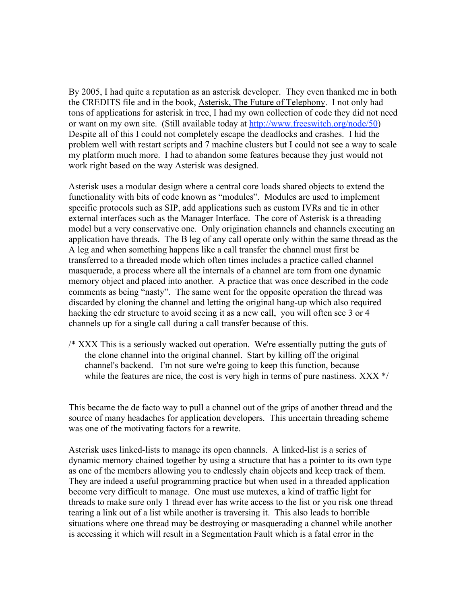By 2005, I had quite a reputation as an asterisk developer. They even thanked me in both the CREDITS file and in the book, Asterisk, The Future of Telephony. I not only had tons of applications for asterisk in tree, I had my own collection of code they did not need or want on my own site. (Still available today at http://www.freeswitch.org/node/50) Despite all of this I could not completely escape the deadlocks and crashes. I hid the problem well with restart scripts and 7 machine clusters but I could not see a way to scale my platform much more. I had to abandon some features because they just would not work right based on the way Asterisk was designed.

Asterisk uses a modular design where a central core loads shared objects to extend the functionality with bits of code known as "modules". Modules are used to implement specific protocols such as SIP, add applications such as custom IVRs and tie in other external interfaces such as the Manager Interface. The core of Asterisk is a threading model but a very conservative one. Only origination channels and channels executing an application have threads. The B leg of any call operate only within the same thread as the A leg and when something happens like a call transfer the channel must first be transferred to a threaded mode which often times includes a practice called channel masquerade, a process where all the internals of a channel are torn from one dynamic memory object and placed into another. A practice that was once described in the code comments as being "nasty". The same went for the opposite operation the thread was discarded by cloning the channel and letting the original hang-up which also required hacking the cdr structure to avoid seeing it as a new call, you will often see 3 or 4 channels up for a single call during a call transfer because of this.

/\* XXX This is a seriously wacked out operation. We're essentially putting the guts of the clone channel into the original channel. Start by killing off the original channel's backend. I'm not sure we're going to keep this function, because while the features are nice, the cost is very high in terms of pure nastiness. XXX  $*/$ 

This became the de facto way to pull a channel out of the grips of another thread and the source of many headaches for application developers. This uncertain threading scheme was one of the motivating factors for a rewrite.

Asterisk uses linked-lists to manage its open channels. A linked-list is a series of dynamic memory chained together by using a structure that has a pointer to its own type as one of the members allowing you to endlessly chain objects and keep track of them. They are indeed a useful programming practice but when used in a threaded application become very difficult to manage. One must use mutexes, a kind of traffic light for threads to make sure only 1 thread ever has write access to the list or you risk one thread tearing a link out of a list while another is traversing it. This also leads to horrible situations where one thread may be destroying or masquerading a channel while another is accessing it which will result in a Segmentation Fault which is a fatal error in the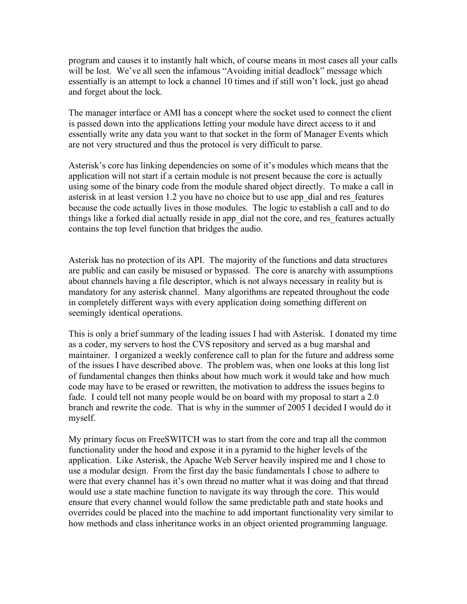program and causes it to instantly halt which, of course means in most cases all your calls will be lost. We've all seen the infamous "Avoiding initial deadlock" message which essentially is an attempt to lock a channel 10 times and if still won't lock, just go ahead and forget about the lock.

The manager interface or AMI has a concept where the socket used to connect the client is passed down into the applications letting your module have direct access to it and essentially write any data you want to that socket in the form of Manager Events which are not very structured and thus the protocol is very difficult to parse.

Asterisk's core has linking dependencies on some of it's modules which means that the application will not start if a certain module is not present because the core is actually using some of the binary code from the module shared object directly. To make a call in asterisk in at least version 1.2 you have no choice but to use app\_dial and res\_features because the code actually lives in those modules. The logic to establish a call and to do things like a forked dial actually reside in app\_dial not the core, and res\_features actually contains the top level function that bridges the audio.

Asterisk has no protection of its API. The majority of the functions and data structures are public and can easily be misused or bypassed. The core is anarchy with assumptions about channels having a file descriptor, which is not always necessary in reality but is mandatory for any asterisk channel. Many algorithms are repeated throughout the code in completely different ways with every application doing something different on seemingly identical operations.

This is only a brief summary of the leading issues I had with Asterisk. I donated my time as a coder, my servers to host the CVS repository and served as a bug marshal and maintainer. I organized a weekly conference call to plan for the future and address some of the issues I have described above. The problem was, when one looks at this long list of fundamental changes then thinks about how much work it would take and how much code may have to be erased or rewritten, the motivation to address the issues begins to fade. I could tell not many people would be on board with my proposal to start a 2.0 branch and rewrite the code. That is why in the summer of 2005 I decided I would do it myself.

My primary focus on FreeSWITCH was to start from the core and trap all the common functionality under the hood and expose it in a pyramid to the higher levels of the application. Like Asterisk, the Apache Web Server heavily inspired me and I chose to use a modular design. From the first day the basic fundamentals I chose to adhere to were that every channel has it's own thread no matter what it was doing and that thread would use a state machine function to navigate its way through the core. This would ensure that every channel would follow the same predictable path and state hooks and overrides could be placed into the machine to add important functionality very similar to how methods and class inheritance works in an object oriented programming language.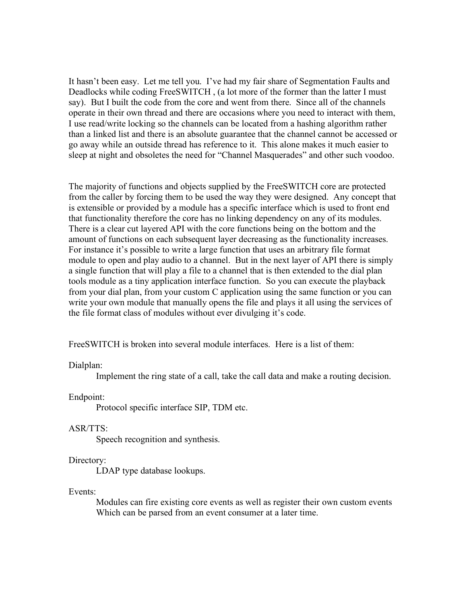It hasn't been easy. Let me tell you. I've had my fair share of Segmentation Faults and Deadlocks while coding FreeSWITCH , (a lot more of the former than the latter I must say). But I built the code from the core and went from there. Since all of the channels operate in their own thread and there are occasions where you need to interact with them, I use read/write locking so the channels can be located from a hashing algorithm rather than a linked list and there is an absolute guarantee that the channel cannot be accessed or go away while an outside thread has reference to it. This alone makes it much easier to sleep at night and obsoletes the need for "Channel Masquerades" and other such voodoo.

The majority of functions and objects supplied by the FreeSWITCH core are protected from the caller by forcing them to be used the way they were designed. Any concept that is extensible or provided by a module has a specific interface which is used to front end that functionality therefore the core has no linking dependency on any of its modules. There is a clear cut layered API with the core functions being on the bottom and the amount of functions on each subsequent layer decreasing as the functionality increases. For instance it's possible to write a large function that uses an arbitrary file format module to open and play audio to a channel. But in the next layer of API there is simply a single function that will play a file to a channel that is then extended to the dial plan tools module as a tiny application interface function. So you can execute the playback from your dial plan, from your custom C application using the same function or you can write your own module that manually opens the file and plays it all using the services of the file format class of modules without ever divulging it's code.

FreeSWITCH is broken into several module interfaces. Here is a list of them:

Dialplan:

Implement the ring state of a call, take the call data and make a routing decision.

Endpoint:

Protocol specific interface SIP, TDM etc.

## ASR/TTS:

Speech recognition and synthesis.

## Directory:

LDAP type database lookups.

## Events:

Modules can fire existing core events as well as register their own custom events Which can be parsed from an event consumer at a later time.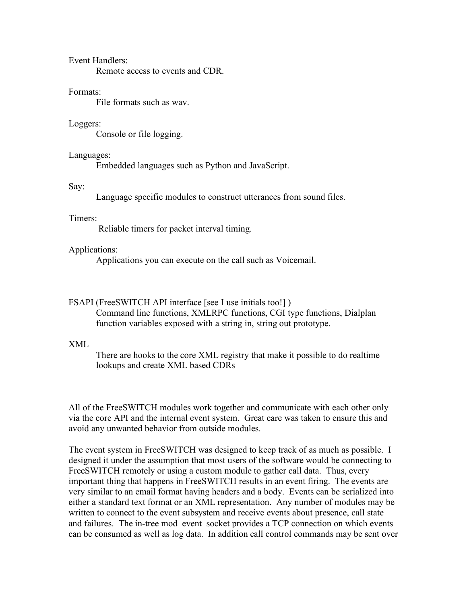## Event Handlers:

Remote access to events and CDR.

#### Formats:

File formats such as wav.

#### Loggers:

Console or file logging.

# Languages:

Embedded languages such as Python and JavaScript.

#### Say:

Language specific modules to construct utterances from sound files.

# Timers:

Reliable timers for packet interval timing.

#### Applications:

Applications you can execute on the call such as Voicemail.

#### FSAPI (FreeSWITCH API interface [see I use initials too!])

Command line functions, XMLRPC functions, CGI type functions, Dialplan function variables exposed with a string in, string out prototype.

# XML

There are hooks to the core XML registry that make it possible to do realtime lookups and create XML based CDRs

All of the FreeSWITCH modules work together and communicate with each other only via the core API and the internal event system. Great care was taken to ensure this and avoid any unwanted behavior from outside modules.

The event system in FreeSWITCH was designed to keep track of as much as possible. I designed it under the assumption that most users of the software would be connecting to FreeSWITCH remotely or using a custom module to gather call data. Thus, every important thing that happens in FreeSWITCH results in an event firing. The events are very similar to an email format having headers and a body. Events can be serialized into either a standard text format or an XML representation. Any number of modules may be written to connect to the event subsystem and receive events about presence, call state and failures. The in-tree mod\_event\_socket provides a TCP connection on which events can be consumed as well as log data. In addition call control commands may be sent over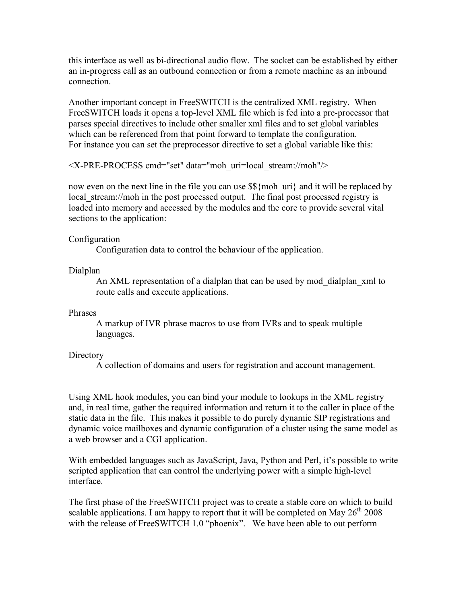this interface as well as bi-directional audio flow. The socket can be established by either an in-progress call as an outbound connection or from a remote machine as an inbound connection.

Another important concept in FreeSWITCH is the centralized XML registry. When FreeSWITCH loads it opens a top-level XML file which is fed into a pre-processor that parses special directives to include other smaller xml files and to set global variables which can be referenced from that point forward to template the configuration. For instance you can set the preprocessor directive to set a global variable like this:

<X-PRE-PROCESS cmd="set" data="moh\_uri=local\_stream://moh"/>

now even on the next line in the file you can use  $\frac{1}{2}$  moh uri} and it will be replaced by local stream://moh in the post processed output. The final post processed registry is loaded into memory and accessed by the modules and the core to provide several vital sections to the application:

# Configuration

Configuration data to control the behaviour of the application.

# Dialplan

An XML representation of a dialplan that can be used by mod\_dialplan\_xml to route calls and execute applications.

## Phrases

A markup of IVR phrase macros to use from IVRs and to speak multiple languages.

# **Directory**

A collection of domains and users for registration and account management.

Using XML hook modules, you can bind your module to lookups in the XML registry and, in real time, gather the required information and return it to the caller in place of the static data in the file. This makes it possible to do purely dynamic SIP registrations and dynamic voice mailboxes and dynamic configuration of a cluster using the same model as a web browser and a CGI application.

With embedded languages such as JavaScript, Java, Python and Perl, it's possible to write scripted application that can control the underlying power with a simple high-level interface.

The first phase of the FreeSWITCH project was to create a stable core on which to build scalable applications. I am happy to report that it will be completed on May  $26^{th}$  2008 with the release of FreeSWITCH 1.0 "phoenix". We have been able to out perform